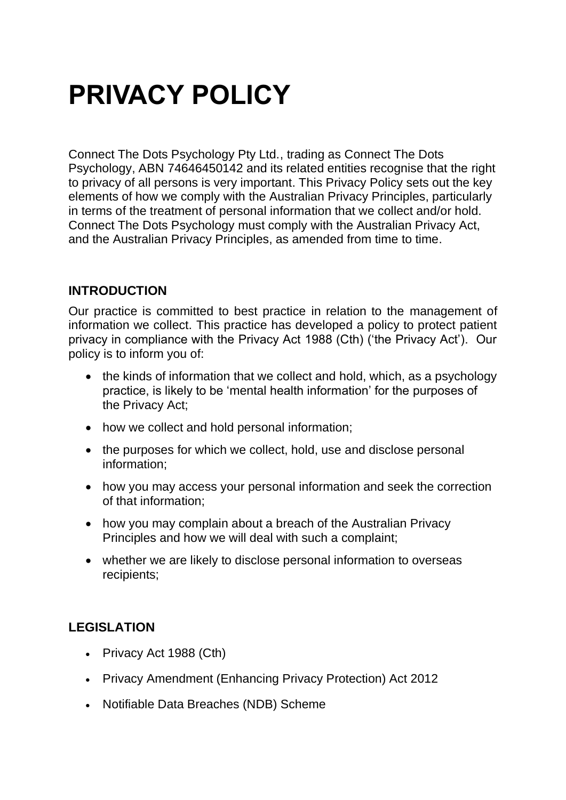# **PRIVACY POLICY**

Connect The Dots Psychology Pty Ltd., trading as Connect The Dots Psychology, ABN 74646450142 and its related entities recognise that the right to privacy of all persons is very important. This Privacy Policy sets out the key elements of how we comply with the Australian Privacy Principles, particularly in terms of the treatment of personal information that we collect and/or hold. Connect The Dots Psychology must comply with the Australian Privacy Act, and the Australian Privacy Principles, as amended from time to time.

## **INTRODUCTION**

Our practice is committed to best practice in relation to the management of information we collect. This practice has developed a policy to protect patient privacy in compliance with the Privacy Act 1988 (Cth) ('the Privacy Act'). Our policy is to inform you of:

- the kinds of information that we collect and hold, which, as a psychology practice, is likely to be 'mental health information' for the purposes of the Privacy Act;
- how we collect and hold personal information;
- the purposes for which we collect, hold, use and disclose personal information;
- how you may access your personal information and seek the correction of that information;
- how you may complain about a breach of the Australian Privacy Principles and how we will deal with such a complaint;
- whether we are likely to disclose personal information to overseas recipients;

## **LEGISLATION**

- Privacy Act 1988 (Cth)
- Privacy Amendment (Enhancing Privacy Protection) Act 2012
- Notifiable Data Breaches (NDB) Scheme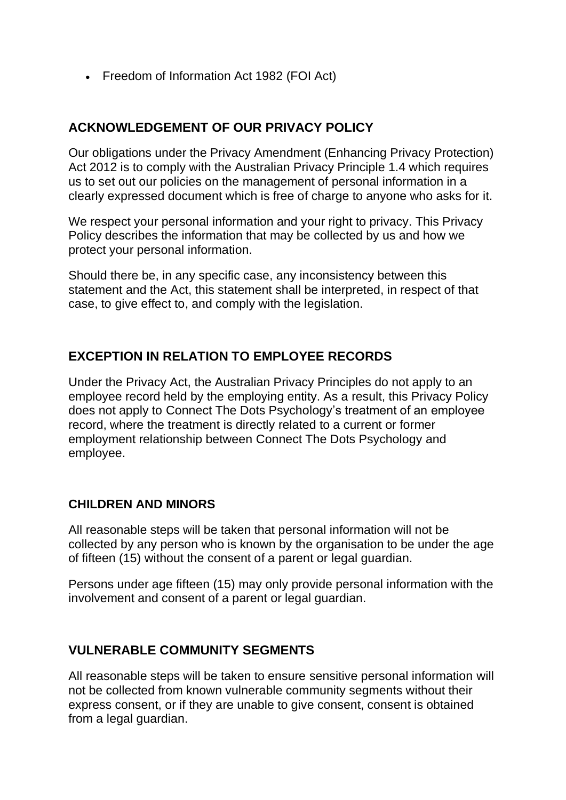• Freedom of Information Act 1982 (FOI Act)

## **ACKNOWLEDGEMENT OF OUR PRIVACY POLICY**

Our obligations under the Privacy Amendment (Enhancing Privacy Protection) Act 2012 is to comply with the Australian Privacy Principle 1.4 which requires us to set out our policies on the management of personal information in a clearly expressed document which is free of charge to anyone who asks for it.

We respect your personal information and your right to privacy. This Privacy Policy describes the information that may be collected by us and how we protect your personal information.

Should there be, in any specific case, any inconsistency between this statement and the Act, this statement shall be interpreted, in respect of that case, to give effect to, and comply with the legislation.

## **EXCEPTION IN RELATION TO EMPLOYEE RECORDS**

Under the Privacy Act, the Australian Privacy Principles do not apply to an employee record held by the employing entity. As a result, this Privacy Policy does not apply to Connect The Dots Psychology's treatment of an employee record, where the treatment is directly related to a current or former employment relationship between Connect The Dots Psychology and employee.

#### **CHILDREN AND MINORS**

All reasonable steps will be taken that personal information will not be collected by any person who is known by the organisation to be under the age of fifteen (15) without the consent of a parent or legal guardian.

Persons under age fifteen (15) may only provide personal information with the involvement and consent of a parent or legal guardian.

#### **VULNERABLE COMMUNITY SEGMENTS**

All reasonable steps will be taken to ensure sensitive personal information will not be collected from known vulnerable community segments without their express consent, or if they are unable to give consent, consent is obtained from a legal guardian.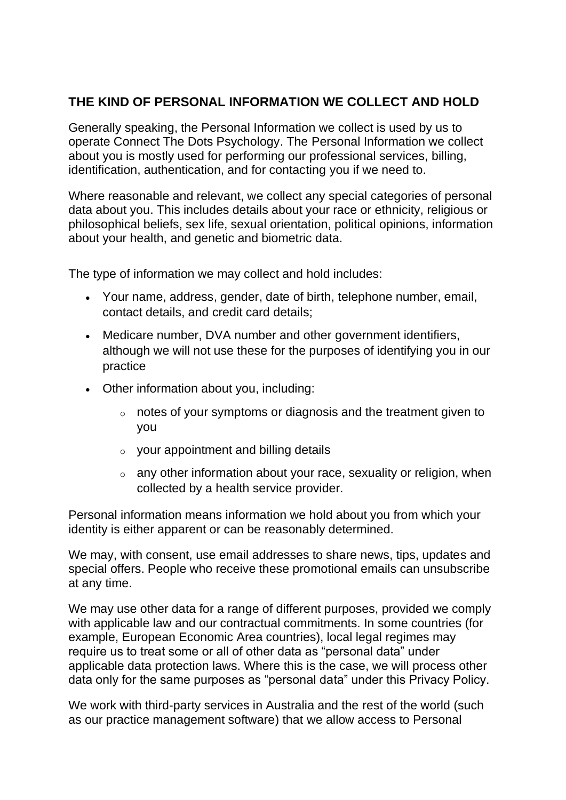## **THE KIND OF PERSONAL INFORMATION WE COLLECT AND HOLD**

Generally speaking, the Personal Information we collect is used by us to operate Connect The Dots Psychology. The Personal Information we collect about you is mostly used for performing our professional services, billing, identification, authentication, and for contacting you if we need to.

Where reasonable and relevant, we collect any special categories of personal data about you. This includes details about your race or ethnicity, religious or philosophical beliefs, sex life, sexual orientation, political opinions, information about your health, and genetic and biometric data.

The type of information we may collect and hold includes:

- Your name, address, gender, date of birth, telephone number, email, contact details, and credit card details;
- Medicare number, DVA number and other government identifiers, although we will not use these for the purposes of identifying you in our practice
- Other information about you, including:
	- o notes of your symptoms or diagnosis and the treatment given to you
	- o your appointment and billing details
	- $\circ$  any other information about your race, sexuality or religion, when collected by a health service provider.

Personal information means information we hold about you from which your identity is either apparent or can be reasonably determined.

We may, with consent, use email addresses to share news, tips, updates and special offers. People who receive these promotional emails can unsubscribe at any time.

We may use other data for a range of different purposes, provided we comply with applicable law and our contractual commitments. In some countries (for example, European Economic Area countries), local legal regimes may require us to treat some or all of other data as "personal data" under applicable data protection laws. Where this is the case, we will process other data only for the same purposes as "personal data" under this Privacy Policy.

We work with third-party services in Australia and the rest of the world (such as our practice management software) that we allow access to Personal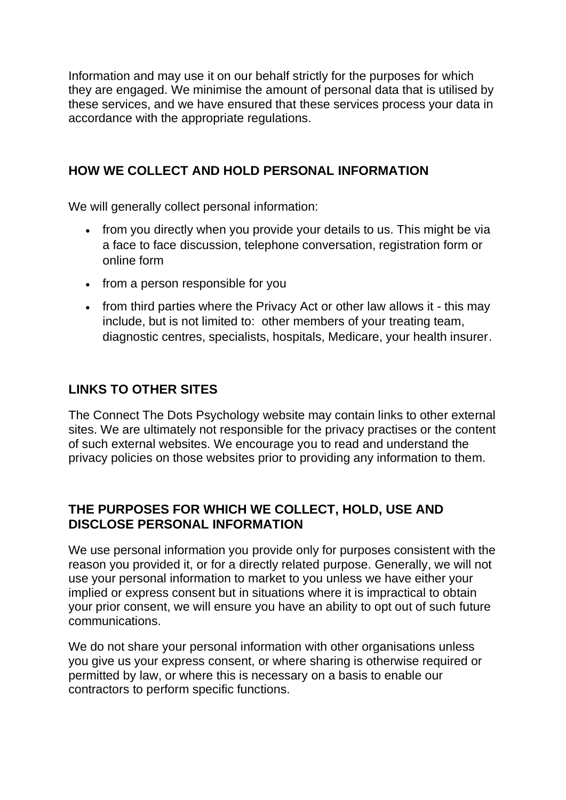Information and may use it on our behalf strictly for the purposes for which they are engaged. We minimise the amount of personal data that is utilised by these services, and we have ensured that these services process your data in accordance with the appropriate regulations.

# **HOW WE COLLECT AND HOLD PERSONAL INFORMATION**

We will generally collect personal information:

- from you directly when you provide your details to us. This might be via a face to face discussion, telephone conversation, registration form or online form
- from a person responsible for you
- from third parties where the Privacy Act or other law allows it this may include, but is not limited to: other members of your treating team, diagnostic centres, specialists, hospitals, Medicare, your health insurer.

# **LINKS TO OTHER SITES**

The Connect The Dots Psychology website may contain links to other external sites. We are ultimately not responsible for the privacy practises or the content of such external websites. We encourage you to read and understand the privacy policies on those websites prior to providing any information to them.

### **THE PURPOSES FOR WHICH WE COLLECT, HOLD, USE AND DISCLOSE PERSONAL INFORMATION**

We use personal information you provide only for purposes consistent with the reason you provided it, or for a directly related purpose. Generally, we will not use your personal information to market to you unless we have either your implied or express consent but in situations where it is impractical to obtain your prior consent, we will ensure you have an ability to opt out of such future communications.

We do not share your personal information with other organisations unless you give us your express consent, or where sharing is otherwise required or permitted by law, or where this is necessary on a basis to enable our contractors to perform specific functions.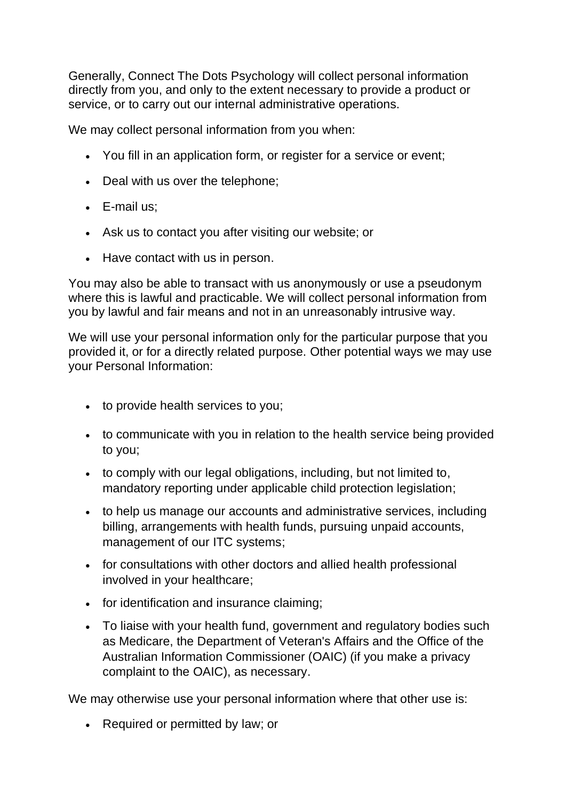Generally, Connect The Dots Psychology will collect personal information directly from you, and only to the extent necessary to provide a product or service, or to carry out our internal administrative operations.

We may collect personal information from you when:

- You fill in an application form, or register for a service or event;
- Deal with us over the telephone;
- E-mail us;
- Ask us to contact you after visiting our website; or
- Have contact with us in person.

You may also be able to transact with us anonymously or use a pseudonym where this is lawful and practicable. We will collect personal information from you by lawful and fair means and not in an unreasonably intrusive way.

We will use your personal information only for the particular purpose that you provided it, or for a directly related purpose. Other potential ways we may use your Personal Information:

- to provide health services to you;
- to communicate with you in relation to the health service being provided to you;
- to comply with our legal obligations, including, but not limited to, mandatory reporting under applicable child protection legislation;
- to help us manage our accounts and administrative services, including billing, arrangements with health funds, pursuing unpaid accounts, management of our ITC systems;
- for consultations with other doctors and allied health professional involved in your healthcare;
- for identification and insurance claiming;
- To liaise with your health fund, government and regulatory bodies such as Medicare, the Department of Veteran's Affairs and the Office of the Australian Information Commissioner (OAIC) (if you make a privacy complaint to the OAIC), as necessary.

We may otherwise use your personal information where that other use is:

• Required or permitted by law; or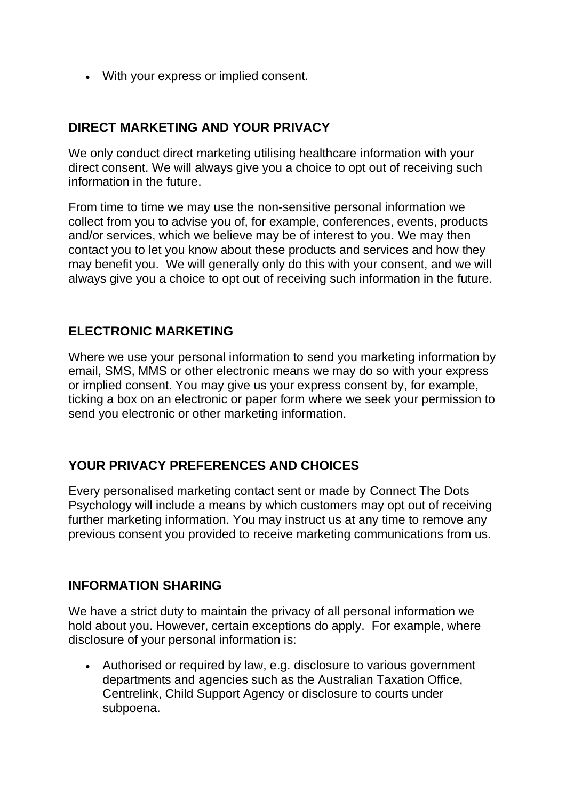• With your express or implied consent.

#### **DIRECT MARKETING AND YOUR PRIVACY**

We only conduct direct marketing utilising healthcare information with your direct consent. We will always give you a choice to opt out of receiving such information in the future.

From time to time we may use the non-sensitive personal information we collect from you to advise you of, for example, conferences, events, products and/or services, which we believe may be of interest to you. We may then contact you to let you know about these products and services and how they may benefit you. We will generally only do this with your consent, and we will always give you a choice to opt out of receiving such information in the future.

### **ELECTRONIC MARKETING**

Where we use your personal information to send you marketing information by email, SMS, MMS or other electronic means we may do so with your express or implied consent. You may give us your express consent by, for example, ticking a box on an electronic or paper form where we seek your permission to send you electronic or other marketing information.

## **YOUR PRIVACY PREFERENCES AND CHOICES**

Every personalised marketing contact sent or made by Connect The Dots Psychology will include a means by which customers may opt out of receiving further marketing information. You may instruct us at any time to remove any previous consent you provided to receive marketing communications from us.

#### **INFORMATION SHARING**

We have a strict duty to maintain the privacy of all personal information we hold about you. However, certain exceptions do apply. For example, where disclosure of your personal information is:

• Authorised or required by law, e.g. disclosure to various government departments and agencies such as the Australian Taxation Office, Centrelink, Child Support Agency or disclosure to courts under subpoena.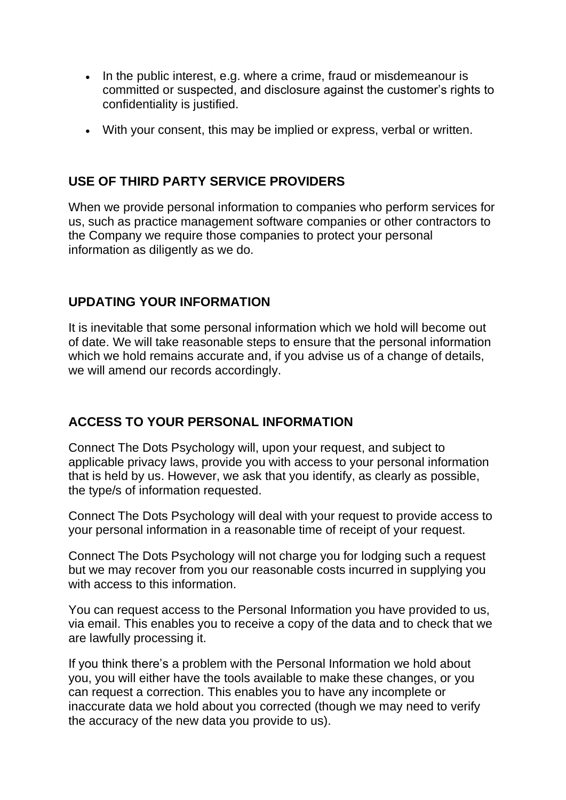- In the public interest, e.g. where a crime, fraud or misdemeanour is committed or suspected, and disclosure against the customer's rights to confidentiality is justified.
- With your consent, this may be implied or express, verbal or written.

#### **USE OF THIRD PARTY SERVICE PROVIDERS**

When we provide personal information to companies who perform services for us, such as practice management software companies or other contractors to the Company we require those companies to protect your personal information as diligently as we do.

### **UPDATING YOUR INFORMATION**

It is inevitable that some personal information which we hold will become out of date. We will take reasonable steps to ensure that the personal information which we hold remains accurate and, if you advise us of a change of details, we will amend our records accordingly.

## **ACCESS TO YOUR PERSONAL INFORMATION**

Connect The Dots Psychology will, upon your request, and subject to applicable privacy laws, provide you with access to your personal information that is held by us. However, we ask that you identify, as clearly as possible, the type/s of information requested.

Connect The Dots Psychology will deal with your request to provide access to your personal information in a reasonable time of receipt of your request.

Connect The Dots Psychology will not charge you for lodging such a request but we may recover from you our reasonable costs incurred in supplying you with access to this information.

You can request access to the Personal Information you have provided to us, via email. This enables you to receive a copy of the data and to check that we are lawfully processing it.

If you think there's a problem with the Personal Information we hold about you, you will either have the tools available to make these changes, or you can request a correction. This enables you to have any incomplete or inaccurate data we hold about you corrected (though we may need to verify the accuracy of the new data you provide to us).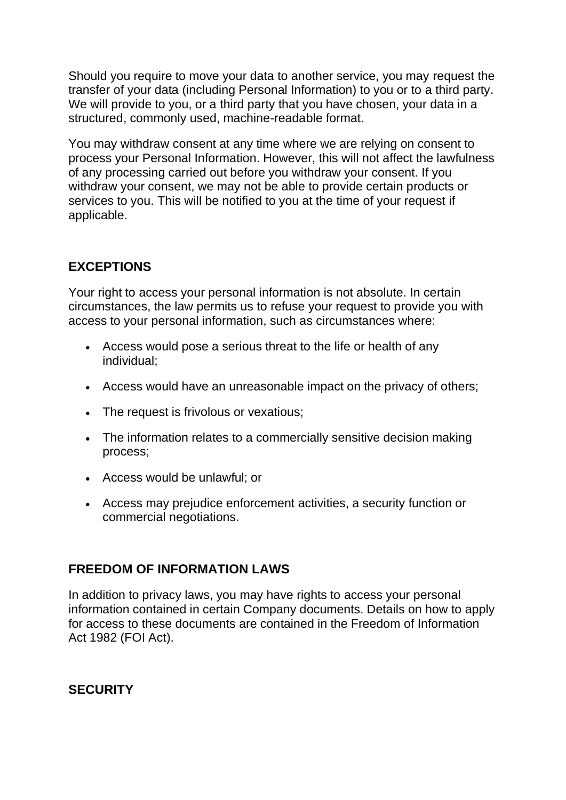Should you require to move your data to another service, you may request the transfer of your data (including Personal Information) to you or to a third party. We will provide to you, or a third party that you have chosen, your data in a structured, commonly used, machine-readable format.

You may withdraw consent at any time where we are relying on consent to process your Personal Information. However, this will not affect the lawfulness of any processing carried out before you withdraw your consent. If you withdraw your consent, we may not be able to provide certain products or services to you. This will be notified to you at the time of your request if applicable.

# **EXCEPTIONS**

Your right to access your personal information is not absolute. In certain circumstances, the law permits us to refuse your request to provide you with access to your personal information, such as circumstances where:

- Access would pose a serious threat to the life or health of any individual;
- Access would have an unreasonable impact on the privacy of others;
- The request is frivolous or vexatious;
- The information relates to a commercially sensitive decision making process;
- Access would be unlawful; or
- Access may prejudice enforcement activities, a security function or commercial negotiations.

## **FREEDOM OF INFORMATION LAWS**

In addition to privacy laws, you may have rights to access your personal information contained in certain Company documents. Details on how to apply for access to these documents are contained in the Freedom of Information Act 1982 (FOI Act).

# **SECURITY**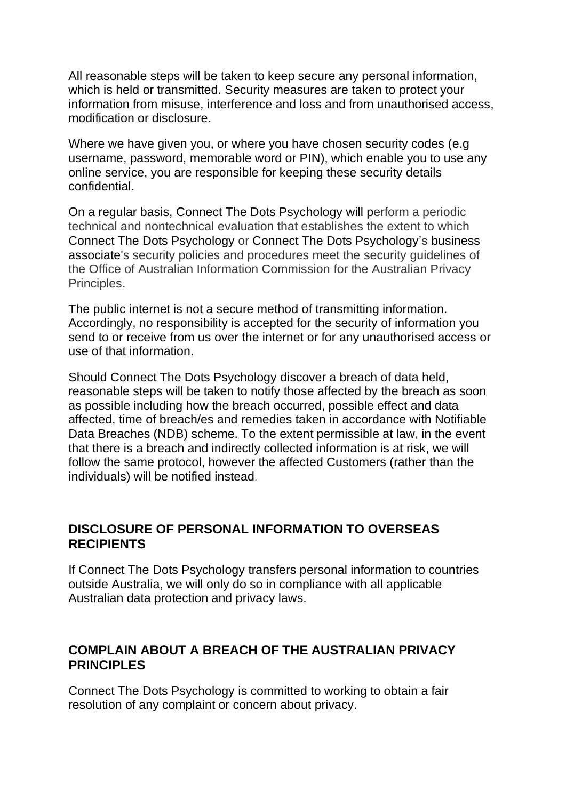All reasonable steps will be taken to keep secure any personal information, which is held or transmitted. Security measures are taken to protect your information from misuse, interference and loss and from unauthorised access, modification or disclosure.

Where we have given you, or where you have chosen security codes (e.g username, password, memorable word or PIN), which enable you to use any online service, you are responsible for keeping these security details confidential.

On a regular basis, Connect The Dots Psychology will perform a periodic technical and nontechnical evaluation that establishes the extent to which Connect The Dots Psychology or Connect The Dots Psychology's business associate's security policies and procedures meet the security guidelines of the Office of Australian Information Commission for the Australian Privacy Principles.

The public internet is not a secure method of transmitting information. Accordingly, no responsibility is accepted for the security of information you send to or receive from us over the internet or for any unauthorised access or use of that information.

Should Connect The Dots Psychology discover a breach of data held, reasonable steps will be taken to notify those affected by the breach as soon as possible including how the breach occurred, possible effect and data affected, time of breach/es and remedies taken in accordance with Notifiable Data Breaches (NDB) scheme. To the extent permissible at law, in the event that there is a breach and indirectly collected information is at risk, we will follow the same protocol, however the affected Customers (rather than the individuals) will be notified instead.

#### **DISCLOSURE OF PERSONAL INFORMATION TO OVERSEAS RECIPIENTS**

If Connect The Dots Psychology transfers personal information to countries outside Australia, we will only do so in compliance with all applicable Australian data protection and privacy laws.

### **COMPLAIN ABOUT A BREACH OF THE AUSTRALIAN PRIVACY PRINCIPLES**

Connect The Dots Psychology is committed to working to obtain a fair resolution of any complaint or concern about privacy.